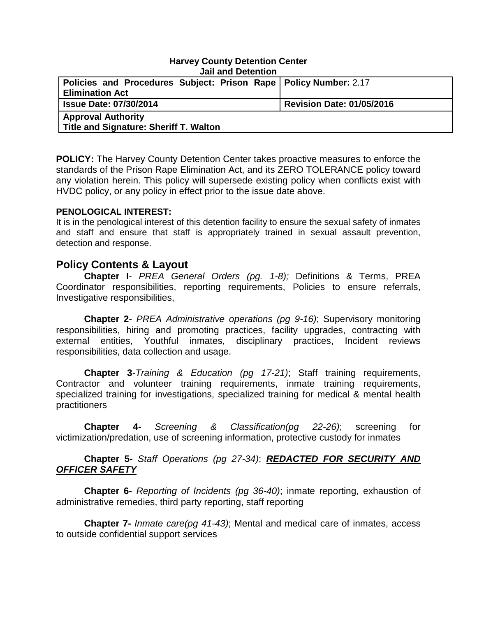#### **Harvey County Detention Center Jail and Detention**

| <u>UGH GHO DUCHILION</u>                                           |                                  |
|--------------------------------------------------------------------|----------------------------------|
| Policies and Procedures Subject: Prison Rape   Policy Number: 2.17 |                                  |
| <b>Elimination Act</b>                                             |                                  |
| <b>Issue Date: 07/30/2014</b>                                      | <b>Revision Date: 01/05/2016</b> |
| <b>Approval Authority</b>                                          |                                  |
| Title and Signature: Sheriff T. Walton                             |                                  |

**POLICY:** The Harvey County Detention Center takes proactive measures to enforce the standards of the Prison Rape Elimination Act, and its ZERO TOLERANCE policy toward any violation herein. This policy will supersede existing policy when conflicts exist with HVDC policy, or any policy in effect prior to the issue date above.

#### **PENOLOGICAL INTEREST:**

It is in the penological interest of this detention facility to ensure the sexual safety of inmates and staff and ensure that staff is appropriately trained in sexual assault prevention, detection and response.

## **Policy Contents & Layout**

**Chapter I**- *PREA General Orders (pg. 1-8);* Definitions & Terms, PREA Coordinator responsibilities, reporting requirements, Policies to ensure referrals, Investigative responsibilities,

**Chapter 2**- *PREA Administrative operations (pg 9-16)*; Supervisory monitoring responsibilities, hiring and promoting practices, facility upgrades, contracting with external entities, Youthful inmates, disciplinary practices, Incident reviews responsibilities, data collection and usage.

**Chapter 3**-*Training & Education (pg 17-21)*; Staff training requirements, Contractor and volunteer training requirements, inmate training requirements, specialized training for investigations, specialized training for medical & mental health practitioners

**Chapter 4-** *Screening & Classification(pg 22-26)*; screening for victimization/predation, use of screening information, protective custody for inmates

## **Chapter 5-** *Staff Operations (pg 27-34)*; *REDACTED FOR SECURITY AND OFFICER SAFETY*

**Chapter 6-** *Reporting of Incidents (pg 36-40)*; inmate reporting, exhaustion of administrative remedies, third party reporting, staff reporting

**Chapter 7-** *Inmate care(pg 41-43)*; Mental and medical care of inmates, access to outside confidential support services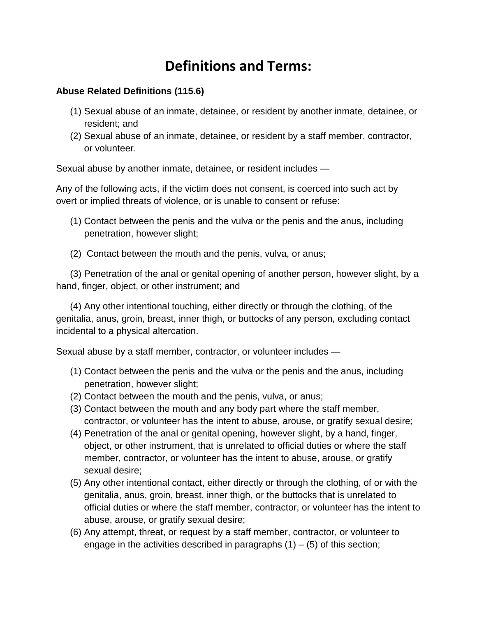# **Definitions and Terms:**

## **Abuse Related Definitions (115.6)**

- (1) Sexual abuse of an inmate, detainee, or resident by another inmate, detainee, or resident; and
- (2) Sexual abuse of an inmate, detainee, or resident by a staff member, contractor, or volunteer.

Sexual abuse by another inmate, detainee, or resident includes —

Any of the following acts, if the victim does not consent, is coerced into such act by overt or implied threats of violence, or is unable to consent or refuse:

- (1) Contact between the penis and the vulva or the penis and the anus, including penetration, however slight;
- (2) Contact between the mouth and the penis, vulva, or anus;

(3) Penetration of the anal or genital opening of another person, however slight, by a hand, finger, object, or other instrument; and

(4) Any other intentional touching, either directly or through the clothing, of the genitalia, anus, groin, breast, inner thigh, or buttocks of any person, excluding contact incidental to a physical altercation.

Sexual abuse by a staff member, contractor, or volunteer includes —

- (1) Contact between the penis and the vulva or the penis and the anus, including penetration, however slight;
- (2) Contact between the mouth and the penis, vulva, or anus;
- (3) Contact between the mouth and any body part where the staff member, contractor, or volunteer has the intent to abuse, arouse, or gratify sexual desire;
- (4) Penetration of the anal or genital opening, however slight, by a hand, finger, object, or other instrument, that is unrelated to official duties or where the staff member, contractor, or volunteer has the intent to abuse, arouse, or gratify sexual desire;
- (5) Any other intentional contact, either directly or through the clothing, of or with the genitalia, anus, groin, breast, inner thigh, or the buttocks that is unrelated to official duties or where the staff member, contractor, or volunteer has the intent to abuse, arouse, or gratify sexual desire;
- (6) Any attempt, threat, or request by a staff member, contractor, or volunteer to engage in the activities described in paragraphs  $(1) - (5)$  of this section;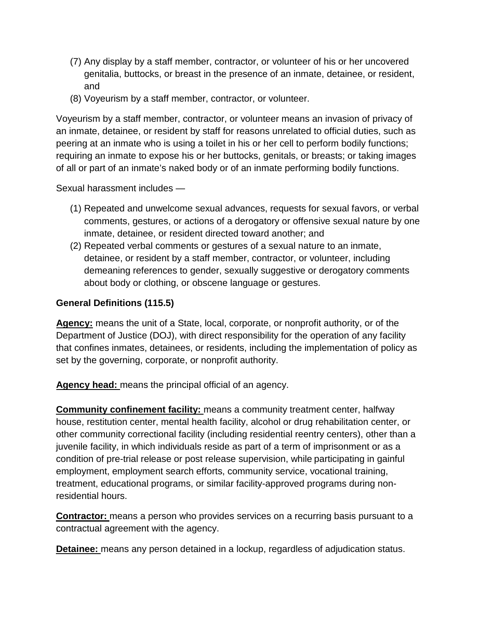- (7) Any display by a staff member, contractor, or volunteer of his or her uncovered genitalia, buttocks, or breast in the presence of an inmate, detainee, or resident, and
- (8) Voyeurism by a staff member, contractor, or volunteer.

Voyeurism by a staff member, contractor, or volunteer means an invasion of privacy of an inmate, detainee, or resident by staff for reasons unrelated to official duties, such as peering at an inmate who is using a toilet in his or her cell to perform bodily functions; requiring an inmate to expose his or her buttocks, genitals, or breasts; or taking images of all or part of an inmate's naked body or of an inmate performing bodily functions.

Sexual harassment includes —

- (1) Repeated and unwelcome sexual advances, requests for sexual favors, or verbal comments, gestures, or actions of a derogatory or offensive sexual nature by one inmate, detainee, or resident directed toward another; and
- (2) Repeated verbal comments or gestures of a sexual nature to an inmate, detainee, or resident by a staff member, contractor, or volunteer, including demeaning references to gender, sexually suggestive or derogatory comments about body or clothing, or obscene language or gestures.

## **General Definitions (115.5)**

**Agency:** means the unit of a State, local, corporate, or nonprofit authority, or of the Department of Justice (DOJ), with direct responsibility for the operation of any facility that confines inmates, detainees, or residents, including the implementation of policy as set by the governing, corporate, or nonprofit authority.

**Agency head:** means the principal official of an agency.

**Community confinement facility:** means a community treatment center, halfway house, restitution center, mental health facility, alcohol or drug rehabilitation center, or other community correctional facility (including residential reentry centers), other than a juvenile facility, in which individuals reside as part of a term of imprisonment or as a condition of pre-trial release or post release supervision, while participating in gainful employment, employment search efforts, community service, vocational training, treatment, educational programs, or similar facility-approved programs during nonresidential hours.

**Contractor:** means a person who provides services on a recurring basis pursuant to a contractual agreement with the agency.

**Detainee:** means any person detained in a lockup, regardless of adjudication status.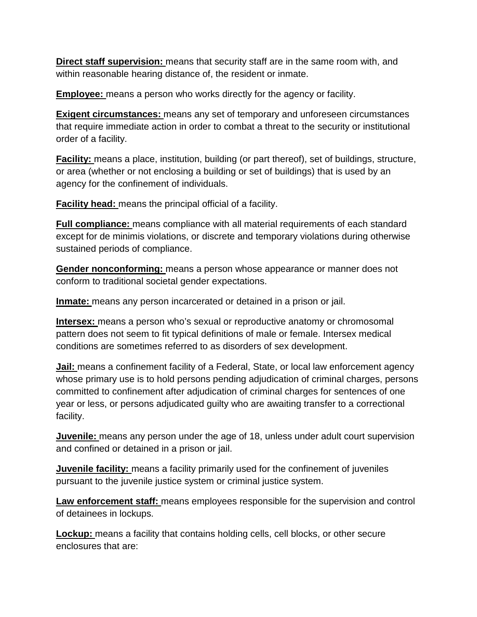**Direct staff supervision:** means that security staff are in the same room with, and within reasonable hearing distance of, the resident or inmate.

**Employee:** means a person who works directly for the agency or facility.

**Exigent circumstances:** means any set of temporary and unforeseen circumstances that require immediate action in order to combat a threat to the security or institutional order of a facility.

**Facility:** means a place, institution, building (or part thereof), set of buildings, structure, or area (whether or not enclosing a building or set of buildings) that is used by an agency for the confinement of individuals.

**Facility head:** means the principal official of a facility.

**Full compliance:** means compliance with all material requirements of each standard except for de minimis violations, or discrete and temporary violations during otherwise sustained periods of compliance.

**Gender nonconforming:** means a person whose appearance or manner does not conform to traditional societal gender expectations.

**Inmate:** means any person incarcerated or detained in a prison or jail.

**Intersex:** means a person who's sexual or reproductive anatomy or chromosomal pattern does not seem to fit typical definitions of male or female. Intersex medical conditions are sometimes referred to as disorders of sex development.

**Jail:** means a confinement facility of a Federal, State, or local law enforcement agency whose primary use is to hold persons pending adjudication of criminal charges, persons committed to confinement after adjudication of criminal charges for sentences of one year or less, or persons adjudicated guilty who are awaiting transfer to a correctional facility.

**Juvenile:** means any person under the age of 18, unless under adult court supervision and confined or detained in a prison or jail.

**Juvenile facility:** means a facility primarily used for the confinement of juveniles pursuant to the juvenile justice system or criminal justice system.

**Law enforcement staff:** means employees responsible for the supervision and control of detainees in lockups.

**Lockup:** means a facility that contains holding cells, cell blocks, or other secure enclosures that are: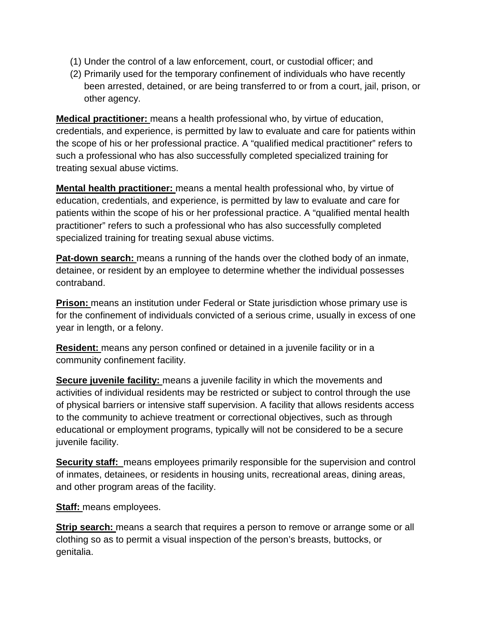- (1) Under the control of a law enforcement, court, or custodial officer; and
- (2) Primarily used for the temporary confinement of individuals who have recently been arrested, detained, or are being transferred to or from a court, jail, prison, or other agency.

**Medical practitioner:** means a health professional who, by virtue of education, credentials, and experience, is permitted by law to evaluate and care for patients within the scope of his or her professional practice. A "qualified medical practitioner" refers to such a professional who has also successfully completed specialized training for treating sexual abuse victims.

**Mental health practitioner:** means a mental health professional who, by virtue of education, credentials, and experience, is permitted by law to evaluate and care for patients within the scope of his or her professional practice. A "qualified mental health practitioner" refers to such a professional who has also successfully completed specialized training for treating sexual abuse victims.

**Pat-down search:** means a running of the hands over the clothed body of an inmate, detainee, or resident by an employee to determine whether the individual possesses contraband.

**Prison:** means an institution under Federal or State jurisdiction whose primary use is for the confinement of individuals convicted of a serious crime, usually in excess of one year in length, or a felony.

**Resident:** means any person confined or detained in a juvenile facility or in a community confinement facility.

**Secure juvenile facility:** means a juvenile facility in which the movements and activities of individual residents may be restricted or subject to control through the use of physical barriers or intensive staff supervision. A facility that allows residents access to the community to achieve treatment or correctional objectives, such as through educational or employment programs, typically will not be considered to be a secure juvenile facility.

**Security staff:** means employees primarily responsible for the supervision and control of inmates, detainees, or residents in housing units, recreational areas, dining areas, and other program areas of the facility.

**Staff:** means employees.

**Strip search:** means a search that requires a person to remove or arrange some or all clothing so as to permit a visual inspection of the person's breasts, buttocks, or genitalia.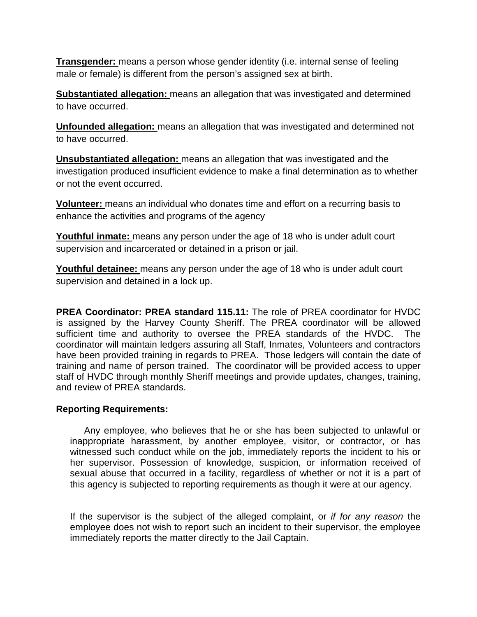**Transgender:** means a person whose gender identity (i.e. internal sense of feeling male or female) is different from the person's assigned sex at birth.

**Substantiated allegation:** means an allegation that was investigated and determined to have occurred.

**Unfounded allegation:** means an allegation that was investigated and determined not to have occurred.

**Unsubstantiated allegation:** means an allegation that was investigated and the investigation produced insufficient evidence to make a final determination as to whether or not the event occurred.

**Volunteer:** means an individual who donates time and effort on a recurring basis to enhance the activities and programs of the agency

**Youthful inmate:** means any person under the age of 18 who is under adult court supervision and incarcerated or detained in a prison or jail.

**Youthful detainee:** means any person under the age of 18 who is under adult court supervision and detained in a lock up.

**PREA Coordinator: PREA standard 115.11:** The role of PREA coordinator for HVDC is assigned by the Harvey County Sheriff. The PREA coordinator will be allowed sufficient time and authority to oversee the PREA standards of the HVDC. The coordinator will maintain ledgers assuring all Staff, Inmates, Volunteers and contractors have been provided training in regards to PREA. Those ledgers will contain the date of training and name of person trained. The coordinator will be provided access to upper staff of HVDC through monthly Sheriff meetings and provide updates, changes, training, and review of PREA standards.

#### **Reporting Requirements:**

Any employee, who believes that he or she has been subjected to unlawful or inappropriate harassment, by another employee, visitor, or contractor, or has witnessed such conduct while on the job, immediately reports the incident to his or her supervisor. Possession of knowledge, suspicion, or information received of sexual abuse that occurred in a facility, regardless of whether or not it is a part of this agency is subjected to reporting requirements as though it were at our agency.

If the supervisor is the subject of the alleged complaint, or *if for any reason* the employee does not wish to report such an incident to their supervisor, the employee immediately reports the matter directly to the Jail Captain.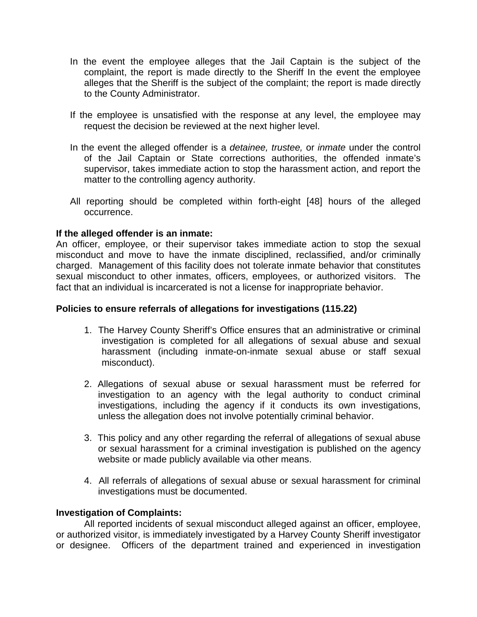- In the event the employee alleges that the Jail Captain is the subject of the complaint, the report is made directly to the Sheriff In the event the employee alleges that the Sheriff is the subject of the complaint; the report is made directly to the County Administrator.
- If the employee is unsatisfied with the response at any level, the employee may request the decision be reviewed at the next higher level.
- In the event the alleged offender is a *detainee, trustee,* or *inmate* under the control of the Jail Captain or State corrections authorities, the offended inmate's supervisor, takes immediate action to stop the harassment action, and report the matter to the controlling agency authority.
- All reporting should be completed within forth-eight [48] hours of the alleged occurrence.

#### **If the alleged offender is an inmate:**

An officer, employee, or their supervisor takes immediate action to stop the sexual misconduct and move to have the inmate disciplined, reclassified, and/or criminally charged. Management of this facility does not tolerate inmate behavior that constitutes sexual misconduct to other inmates, officers, employees, or authorized visitors. The fact that an individual is incarcerated is not a license for inappropriate behavior.

#### **Policies to ensure referrals of allegations for investigations (115.22)**

- 1. The Harvey County Sheriff's Office ensures that an administrative or criminal investigation is completed for all allegations of sexual abuse and sexual harassment (including inmate-on-inmate sexual abuse or staff sexual misconduct).
- 2. Allegations of sexual abuse or sexual harassment must be referred for investigation to an agency with the legal authority to conduct criminal investigations, including the agency if it conducts its own investigations, unless the allegation does not involve potentially criminal behavior.
- 3. This policy and any other regarding the referral of allegations of sexual abuse or sexual harassment for a criminal investigation is published on the agency website or made publicly available via other means.
- 4. All referrals of allegations of sexual abuse or sexual harassment for criminal investigations must be documented.

#### **Investigation of Complaints:**

All reported incidents of sexual misconduct alleged against an officer, employee, or authorized visitor, is immediately investigated by a Harvey County Sheriff investigator or designee. Officers of the department trained and experienced in investigation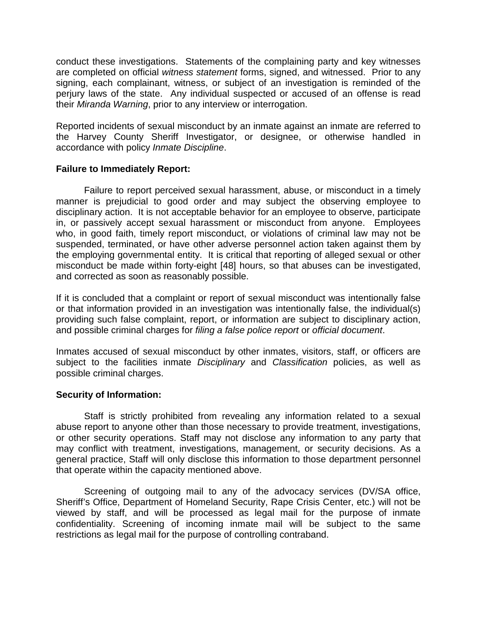conduct these investigations. Statements of the complaining party and key witnesses are completed on official *witness statement* forms, signed, and witnessed. Prior to any signing, each complainant, witness, or subject of an investigation is reminded of the perjury laws of the state. Any individual suspected or accused of an offense is read their *Miranda Warning*, prior to any interview or interrogation.

Reported incidents of sexual misconduct by an inmate against an inmate are referred to the Harvey County Sheriff Investigator, or designee, or otherwise handled in accordance with policy *Inmate Discipline*.

#### **Failure to Immediately Report:**

Failure to report perceived sexual harassment, abuse, or misconduct in a timely manner is prejudicial to good order and may subject the observing employee to disciplinary action. It is not acceptable behavior for an employee to observe, participate in, or passively accept sexual harassment or misconduct from anyone. Employees who, in good faith, timely report misconduct, or violations of criminal law may not be suspended, terminated, or have other adverse personnel action taken against them by the employing governmental entity. It is critical that reporting of alleged sexual or other misconduct be made within forty-eight [48] hours, so that abuses can be investigated, and corrected as soon as reasonably possible.

If it is concluded that a complaint or report of sexual misconduct was intentionally false or that information provided in an investigation was intentionally false, the individual(s) providing such false complaint, report, or information are subject to disciplinary action, and possible criminal charges for *filing a false police report* or *official document*.

Inmates accused of sexual misconduct by other inmates, visitors, staff, or officers are subject to the facilities inmate *Disciplinary* and *Classification* policies, as well as possible criminal charges.

#### **Security of Information:**

Staff is strictly prohibited from revealing any information related to a sexual abuse report to anyone other than those necessary to provide treatment, investigations, or other security operations. Staff may not disclose any information to any party that may conflict with treatment, investigations, management, or security decisions. As a general practice, Staff will only disclose this information to those department personnel that operate within the capacity mentioned above.

Screening of outgoing mail to any of the advocacy services (DV/SA office, Sheriff's Office, Department of Homeland Security, Rape Crisis Center, etc.) will not be viewed by staff, and will be processed as legal mail for the purpose of inmate confidentiality. Screening of incoming inmate mail will be subject to the same restrictions as legal mail for the purpose of controlling contraband.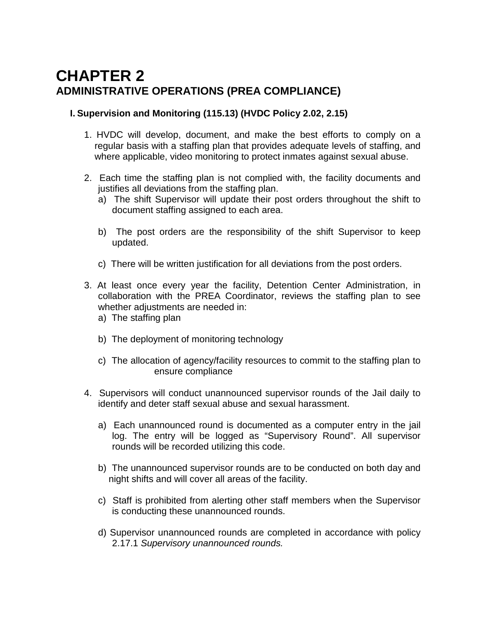## **CHAPTER 2 ADMINISTRATIVE OPERATIONS (PREA COMPLIANCE)**

## **I. Supervision and Monitoring (115.13) (HVDC Policy 2.02, 2.15)**

- 1. HVDC will develop, document, and make the best efforts to comply on a regular basis with a staffing plan that provides adequate levels of staffing, and where applicable, video monitoring to protect inmates against sexual abuse.
- 2. Each time the staffing plan is not complied with, the facility documents and justifies all deviations from the staffing plan.
	- a) The shift Supervisor will update their post orders throughout the shift to document staffing assigned to each area.
	- b) The post orders are the responsibility of the shift Supervisor to keep updated.
	- c) There will be written justification for all deviations from the post orders.
- 3. At least once every year the facility, Detention Center Administration, in collaboration with the PREA Coordinator, reviews the staffing plan to see whether adjustments are needed in:
	- a) The staffing plan
	- b) The deployment of monitoring technology
	- c) The allocation of agency/facility resources to commit to the staffing plan to ensure compliance
- 4. Supervisors will conduct unannounced supervisor rounds of the Jail daily to identify and deter staff sexual abuse and sexual harassment.
	- a) Each unannounced round is documented as a computer entry in the jail log. The entry will be logged as "Supervisory Round". All supervisor rounds will be recorded utilizing this code.
	- b) The unannounced supervisor rounds are to be conducted on both day and night shifts and will cover all areas of the facility.
	- c) Staff is prohibited from alerting other staff members when the Supervisor is conducting these unannounced rounds.
	- d) Supervisor unannounced rounds are completed in accordance with policy 2.17.1 *Supervisory unannounced rounds.*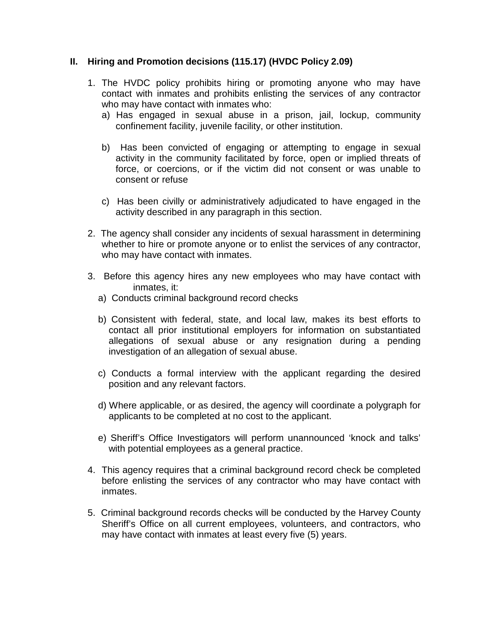#### **II. Hiring and Promotion decisions (115.17) (HVDC Policy 2.09)**

- 1. The HVDC policy prohibits hiring or promoting anyone who may have contact with inmates and prohibits enlisting the services of any contractor who may have contact with inmates who:
	- a) Has engaged in sexual abuse in a prison, jail, lockup, community confinement facility, juvenile facility, or other institution.
	- b) Has been convicted of engaging or attempting to engage in sexual activity in the community facilitated by force, open or implied threats of force, or coercions, or if the victim did not consent or was unable to consent or refuse
	- c) Has been civilly or administratively adjudicated to have engaged in the activity described in any paragraph in this section.
- 2. The agency shall consider any incidents of sexual harassment in determining whether to hire or promote anyone or to enlist the services of any contractor, who may have contact with inmates.
- 3. Before this agency hires any new employees who may have contact with inmates, it:
	- a) Conducts criminal background record checks
	- b) Consistent with federal, state, and local law, makes its best efforts to contact all prior institutional employers for information on substantiated allegations of sexual abuse or any resignation during a pending investigation of an allegation of sexual abuse.
	- c) Conducts a formal interview with the applicant regarding the desired position and any relevant factors.
	- d) Where applicable, or as desired, the agency will coordinate a polygraph for applicants to be completed at no cost to the applicant.
	- e) Sheriff's Office Investigators will perform unannounced 'knock and talks' with potential employees as a general practice.
- 4. This agency requires that a criminal background record check be completed before enlisting the services of any contractor who may have contact with inmates.
- 5. Criminal background records checks will be conducted by the Harvey County Sheriff's Office on all current employees, volunteers, and contractors, who may have contact with inmates at least every five (5) years.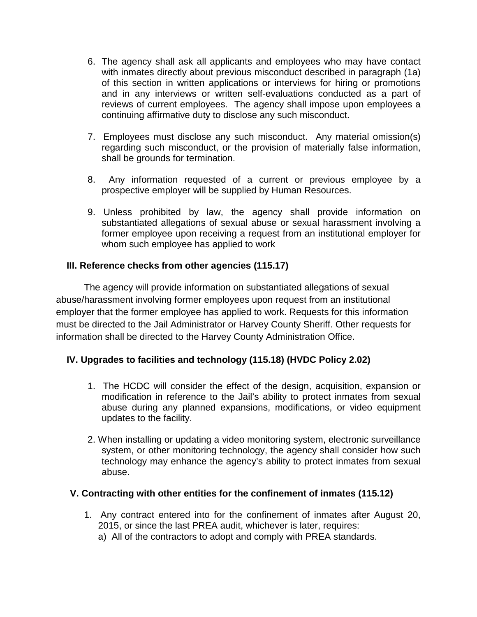- 6. The agency shall ask all applicants and employees who may have contact with inmates directly about previous misconduct described in paragraph (1a) of this section in written applications or interviews for hiring or promotions and in any interviews or written self-evaluations conducted as a part of reviews of current employees. The agency shall impose upon employees a continuing affirmative duty to disclose any such misconduct.
- 7. Employees must disclose any such misconduct. Any material omission(s) regarding such misconduct, or the provision of materially false information, shall be grounds for termination.
- 8. Any information requested of a current or previous employee by a prospective employer will be supplied by Human Resources.
- 9. Unless prohibited by law, the agency shall provide information on substantiated allegations of sexual abuse or sexual harassment involving a former employee upon receiving a request from an institutional employer for whom such employee has applied to work

## **III. Reference checks from other agencies (115.17)**

The agency will provide information on substantiated allegations of sexual abuse/harassment involving former employees upon request from an institutional employer that the former employee has applied to work. Requests for this information must be directed to the Jail Administrator or Harvey County Sheriff. Other requests for information shall be directed to the Harvey County Administration Office.

## **IV. Upgrades to facilities and technology (115.18) (HVDC Policy 2.02)**

- 1. The HCDC will consider the effect of the design, acquisition, expansion or modification in reference to the Jail's ability to protect inmates from sexual abuse during any planned expansions, modifications, or video equipment updates to the facility.
- 2. When installing or updating a video monitoring system, electronic surveillance system, or other monitoring technology, the agency shall consider how such technology may enhance the agency's ability to protect inmates from sexual abuse.

## **V. Contracting with other entities for the confinement of inmates (115.12)**

1. Any contract entered into for the confinement of inmates after August 20, 2015, or since the last PREA audit, whichever is later, requires: a) All of the contractors to adopt and comply with PREA standards.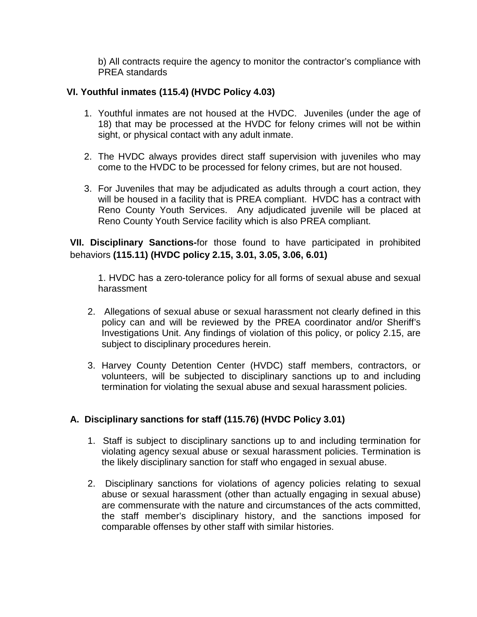b) All contracts require the agency to monitor the contractor's compliance with PREA standards

## **VI. Youthful inmates (115.4) (HVDC Policy 4.03)**

- 1. Youthful inmates are not housed at the HVDC. Juveniles (under the age of 18) that may be processed at the HVDC for felony crimes will not be within sight, or physical contact with any adult inmate.
- 2. The HVDC always provides direct staff supervision with juveniles who may come to the HVDC to be processed for felony crimes, but are not housed.
- 3. For Juveniles that may be adjudicated as adults through a court action, they will be housed in a facility that is PREA compliant. HVDC has a contract with Reno County Youth Services. Any adjudicated juvenile will be placed at Reno County Youth Service facility which is also PREA compliant.

**VII. Disciplinary Sanctions-**for those found to have participated in prohibited behaviors **(115.11) (HVDC policy 2.15, 3.01, 3.05, 3.06, 6.01)**

1. HVDC has a zero-tolerance policy for all forms of sexual abuse and sexual harassment

- 2. Allegations of sexual abuse or sexual harassment not clearly defined in this policy can and will be reviewed by the PREA coordinator and/or Sheriff's Investigations Unit. Any findings of violation of this policy, or policy 2.15, are subject to disciplinary procedures herein.
- 3. Harvey County Detention Center (HVDC) staff members, contractors, or volunteers, will be subjected to disciplinary sanctions up to and including termination for violating the sexual abuse and sexual harassment policies.

#### **A. Disciplinary sanctions for staff (115.76) (HVDC Policy 3.01)**

- 1. Staff is subject to disciplinary sanctions up to and including termination for violating agency sexual abuse or sexual harassment policies. Termination is the likely disciplinary sanction for staff who engaged in sexual abuse.
- 2. Disciplinary sanctions for violations of agency policies relating to sexual abuse or sexual harassment (other than actually engaging in sexual abuse) are commensurate with the nature and circumstances of the acts committed, the staff member's disciplinary history, and the sanctions imposed for comparable offenses by other staff with similar histories.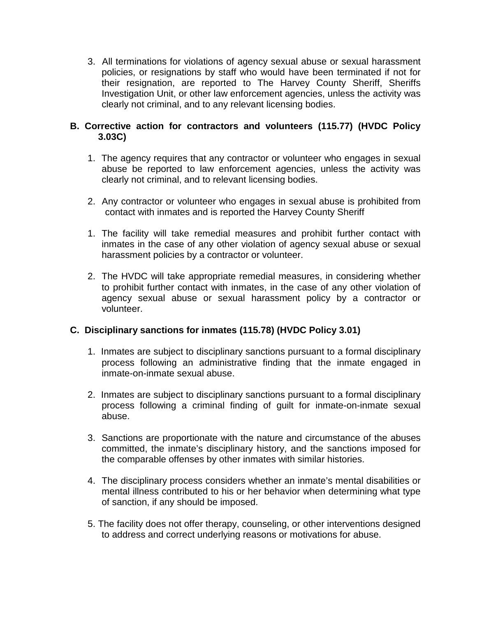3. All terminations for violations of agency sexual abuse or sexual harassment policies, or resignations by staff who would have been terminated if not for their resignation, are reported to The Harvey County Sheriff, Sheriffs Investigation Unit, or other law enforcement agencies, unless the activity was clearly not criminal, and to any relevant licensing bodies.

## **B. Corrective action for contractors and volunteers (115.77) (HVDC Policy 3.03C)**

- 1. The agency requires that any contractor or volunteer who engages in sexual abuse be reported to law enforcement agencies, unless the activity was clearly not criminal, and to relevant licensing bodies.
- 2. Any contractor or volunteer who engages in sexual abuse is prohibited from contact with inmates and is reported the Harvey County Sheriff
- 1. The facility will take remedial measures and prohibit further contact with inmates in the case of any other violation of agency sexual abuse or sexual harassment policies by a contractor or volunteer.
- 2. The HVDC will take appropriate remedial measures, in considering whether to prohibit further contact with inmates, in the case of any other violation of agency sexual abuse or sexual harassment policy by a contractor or volunteer.

## **C. Disciplinary sanctions for inmates (115.78) (HVDC Policy 3.01)**

- 1. Inmates are subject to disciplinary sanctions pursuant to a formal disciplinary process following an administrative finding that the inmate engaged in inmate-on-inmate sexual abuse.
- 2. Inmates are subject to disciplinary sanctions pursuant to a formal disciplinary process following a criminal finding of guilt for inmate-on-inmate sexual abuse.
- 3. Sanctions are proportionate with the nature and circumstance of the abuses committed, the inmate's disciplinary history, and the sanctions imposed for the comparable offenses by other inmates with similar histories.
- 4. The disciplinary process considers whether an inmate's mental disabilities or mental illness contributed to his or her behavior when determining what type of sanction, if any should be imposed.
- 5. The facility does not offer therapy, counseling, or other interventions designed to address and correct underlying reasons or motivations for abuse.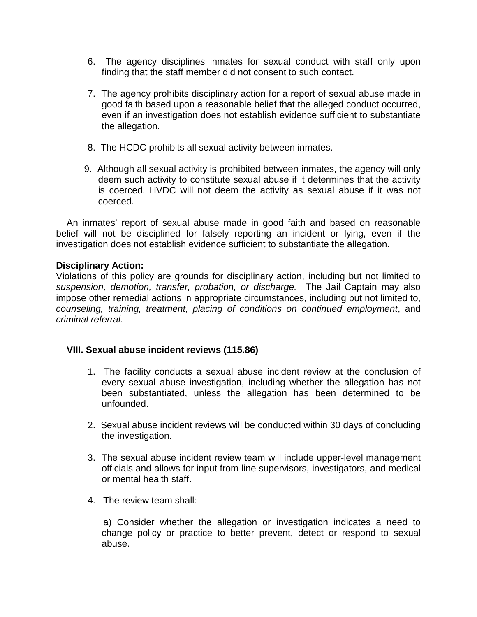- 6. The agency disciplines inmates for sexual conduct with staff only upon finding that the staff member did not consent to such contact.
- 7. The agency prohibits disciplinary action for a report of sexual abuse made in good faith based upon a reasonable belief that the alleged conduct occurred, even if an investigation does not establish evidence sufficient to substantiate the allegation.
- 8. The HCDC prohibits all sexual activity between inmates.
- 9. Although all sexual activity is prohibited between inmates, the agency will only deem such activity to constitute sexual abuse if it determines that the activity is coerced. HVDC will not deem the activity as sexual abuse if it was not coerced.

An inmates' report of sexual abuse made in good faith and based on reasonable belief will not be disciplined for falsely reporting an incident or lying, even if the investigation does not establish evidence sufficient to substantiate the allegation.

## **Disciplinary Action:**

Violations of this policy are grounds for disciplinary action, including but not limited to *suspension, demotion, transfer, probation, or discharge.* The Jail Captain may also impose other remedial actions in appropriate circumstances, including but not limited to, *counseling, training, treatment, placing of conditions on continued employment*, and *criminal referral*.

#### **VIII. Sexual abuse incident reviews (115.86)**

- 1. The facility conducts a sexual abuse incident review at the conclusion of every sexual abuse investigation, including whether the allegation has not been substantiated, unless the allegation has been determined to be unfounded.
- 2. Sexual abuse incident reviews will be conducted within 30 days of concluding the investigation.
- 3. The sexual abuse incident review team will include upper-level management officials and allows for input from line supervisors, investigators, and medical or mental health staff.
- 4. The review team shall:

 a) Consider whether the allegation or investigation indicates a need to change policy or practice to better prevent, detect or respond to sexual abuse.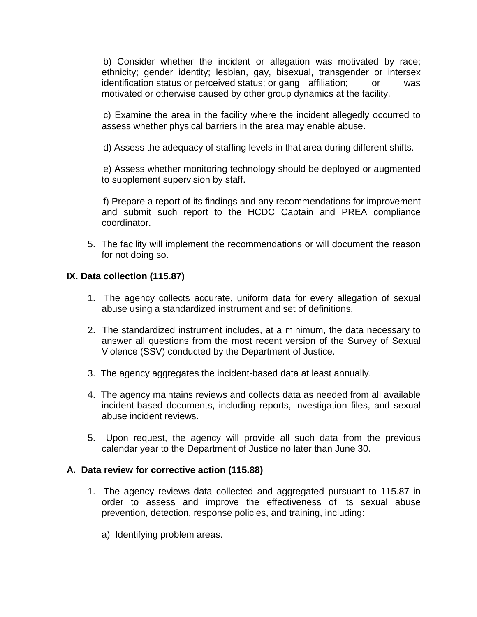b) Consider whether the incident or allegation was motivated by race; ethnicity; gender identity; lesbian, gay, bisexual, transgender or intersex identification status or perceived status; or gang affiliation; or was motivated or otherwise caused by other group dynamics at the facility.

 c) Examine the area in the facility where the incident allegedly occurred to assess whether physical barriers in the area may enable abuse.

d) Assess the adequacy of staffing levels in that area during different shifts.

 e) Assess whether monitoring technology should be deployed or augmented to supplement supervision by staff.

 f) Prepare a report of its findings and any recommendations for improvement and submit such report to the HCDC Captain and PREA compliance coordinator.

5. The facility will implement the recommendations or will document the reason for not doing so.

## **IX. Data collection (115.87)**

- 1. The agency collects accurate, uniform data for every allegation of sexual abuse using a standardized instrument and set of definitions.
- 2. The standardized instrument includes, at a minimum, the data necessary to answer all questions from the most recent version of the Survey of Sexual Violence (SSV) conducted by the Department of Justice.
- 3. The agency aggregates the incident-based data at least annually.
- 4. The agency maintains reviews and collects data as needed from all available incident-based documents, including reports, investigation files, and sexual abuse incident reviews.
- 5. Upon request, the agency will provide all such data from the previous calendar year to the Department of Justice no later than June 30.

#### **A. Data review for corrective action (115.88)**

- 1. The agency reviews data collected and aggregated pursuant to 115.87 in order to assess and improve the effectiveness of its sexual abuse prevention, detection, response policies, and training, including:
	- a) Identifying problem areas.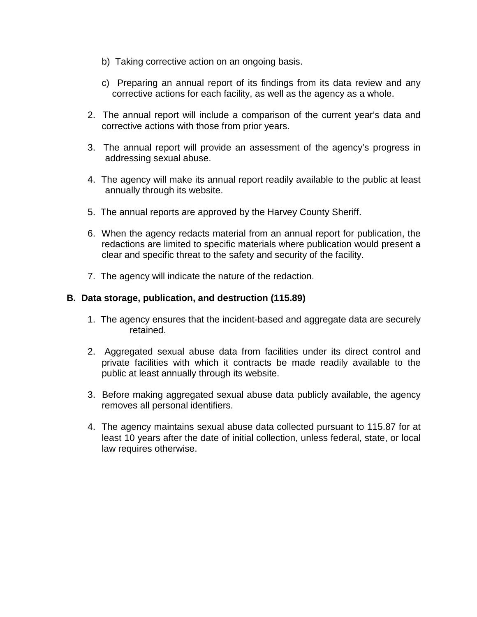- b) Taking corrective action on an ongoing basis.
- c) Preparing an annual report of its findings from its data review and any corrective actions for each facility, as well as the agency as a whole.
- 2. The annual report will include a comparison of the current year's data and corrective actions with those from prior years.
- 3. The annual report will provide an assessment of the agency's progress in addressing sexual abuse.
- 4. The agency will make its annual report readily available to the public at least annually through its website.
- 5. The annual reports are approved by the Harvey County Sheriff.
- 6. When the agency redacts material from an annual report for publication, the redactions are limited to specific materials where publication would present a clear and specific threat to the safety and security of the facility.
- 7. The agency will indicate the nature of the redaction.

#### **B. Data storage, publication, and destruction (115.89)**

- 1. The agency ensures that the incident-based and aggregate data are securely retained.
- 2. Aggregated sexual abuse data from facilities under its direct control and private facilities with which it contracts be made readily available to the public at least annually through its website.
- 3. Before making aggregated sexual abuse data publicly available, the agency removes all personal identifiers.
- 4. The agency maintains sexual abuse data collected pursuant to 115.87 for at least 10 years after the date of initial collection, unless federal, state, or local law requires otherwise.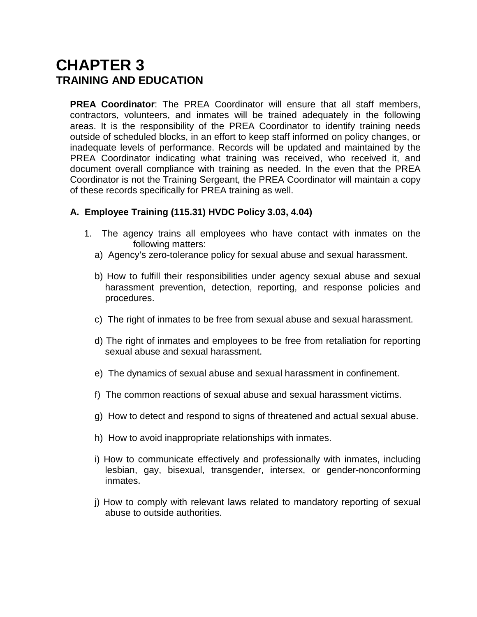## **CHAPTER 3 TRAINING AND EDUCATION**

**PREA Coordinator**: The PREA Coordinator will ensure that all staff members, contractors, volunteers, and inmates will be trained adequately in the following areas. It is the responsibility of the PREA Coordinator to identify training needs outside of scheduled blocks, in an effort to keep staff informed on policy changes, or inadequate levels of performance. Records will be updated and maintained by the PREA Coordinator indicating what training was received, who received it, and document overall compliance with training as needed. In the even that the PREA Coordinator is not the Training Sergeant, the PREA Coordinator will maintain a copy of these records specifically for PREA training as well.

## **A. Employee Training (115.31) HVDC Policy 3.03, 4.04)**

- 1. The agency trains all employees who have contact with inmates on the following matters:
	- a) Agency's zero-tolerance policy for sexual abuse and sexual harassment.
	- b) How to fulfill their responsibilities under agency sexual abuse and sexual harassment prevention, detection, reporting, and response policies and procedures.
	- c) The right of inmates to be free from sexual abuse and sexual harassment.
	- d) The right of inmates and employees to be free from retaliation for reporting sexual abuse and sexual harassment.
	- e) The dynamics of sexual abuse and sexual harassment in confinement.
	- f) The common reactions of sexual abuse and sexual harassment victims.
	- g) How to detect and respond to signs of threatened and actual sexual abuse.
	- h) How to avoid inappropriate relationships with inmates.
	- i) How to communicate effectively and professionally with inmates, including lesbian, gay, bisexual, transgender, intersex, or gender-nonconforming inmates.
	- j) How to comply with relevant laws related to mandatory reporting of sexual abuse to outside authorities.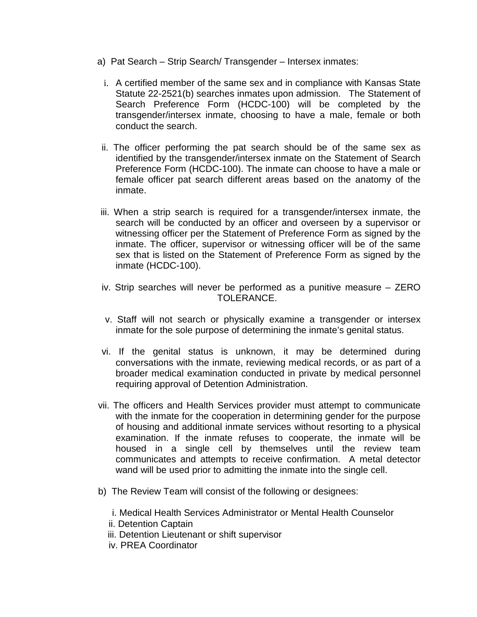- a) Pat Search Strip Search/ Transgender Intersex inmates:
	- i. A certified member of the same sex and in compliance with Kansas State Statute 22-2521(b) searches inmates upon admission. The Statement of Search Preference Form (HCDC-100) will be completed by the transgender/intersex inmate, choosing to have a male, female or both conduct the search.
	- ii. The officer performing the pat search should be of the same sex as identified by the transgender/intersex inmate on the Statement of Search Preference Form (HCDC-100). The inmate can choose to have a male or female officer pat search different areas based on the anatomy of the inmate.
- iii. When a strip search is required for a transgender/intersex inmate, the search will be conducted by an officer and overseen by a supervisor or witnessing officer per the Statement of Preference Form as signed by the inmate. The officer, supervisor or witnessing officer will be of the same sex that is listed on the Statement of Preference Form as signed by the inmate (HCDC-100).
- iv. Strip searches will never be performed as a punitive measure ZERO TOLERANCE.
- v. Staff will not search or physically examine a transgender or intersex inmate for the sole purpose of determining the inmate's genital status.
- vi. If the genital status is unknown, it may be determined during conversations with the inmate, reviewing medical records, or as part of a broader medical examination conducted in private by medical personnel requiring approval of Detention Administration.
- vii. The officers and Health Services provider must attempt to communicate with the inmate for the cooperation in determining gender for the purpose of housing and additional inmate services without resorting to a physical examination. If the inmate refuses to cooperate, the inmate will be housed in a single cell by themselves until the review team communicates and attempts to receive confirmation. A metal detector wand will be used prior to admitting the inmate into the single cell.
- b) The Review Team will consist of the following or designees:
	- i. Medical Health Services Administrator or Mental Health Counselor
	- ii. Detention Captain
	- iii. Detention Lieutenant or shift supervisor
	- iv. PREA Coordinator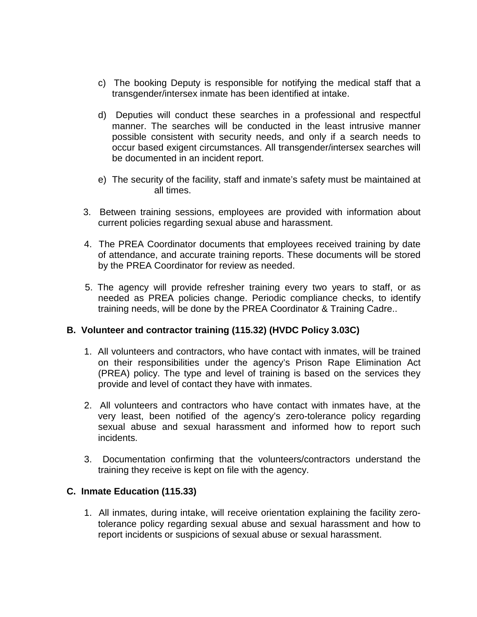- c) The booking Deputy is responsible for notifying the medical staff that a transgender/intersex inmate has been identified at intake.
- d) Deputies will conduct these searches in a professional and respectful manner. The searches will be conducted in the least intrusive manner possible consistent with security needs, and only if a search needs to occur based exigent circumstances. All transgender/intersex searches will be documented in an incident report.
- e) The security of the facility, staff and inmate's safety must be maintained at all times.
- 3. Between training sessions, employees are provided with information about current policies regarding sexual abuse and harassment.
- 4. The PREA Coordinator documents that employees received training by date of attendance, and accurate training reports. These documents will be stored by the PREA Coordinator for review as needed.
- 5. The agency will provide refresher training every two years to staff, or as needed as PREA policies change. Periodic compliance checks, to identify training needs, will be done by the PREA Coordinator & Training Cadre..

## **B. Volunteer and contractor training (115.32) (HVDC Policy 3.03C)**

- 1. All volunteers and contractors, who have contact with inmates, will be trained on their responsibilities under the agency's Prison Rape Elimination Act (PREA) policy. The type and level of training is based on the services they provide and level of contact they have with inmates.
- 2. All volunteers and contractors who have contact with inmates have, at the very least, been notified of the agency's zero-tolerance policy regarding sexual abuse and sexual harassment and informed how to report such incidents.
- 3. Documentation confirming that the volunteers/contractors understand the training they receive is kept on file with the agency.

#### **C. Inmate Education (115.33)**

1. All inmates, during intake, will receive orientation explaining the facility zerotolerance policy regarding sexual abuse and sexual harassment and how to report incidents or suspicions of sexual abuse or sexual harassment.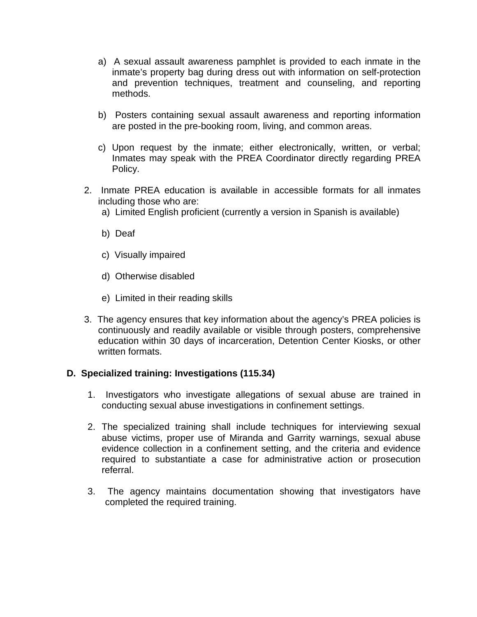- a) A sexual assault awareness pamphlet is provided to each inmate in the inmate's property bag during dress out with information on self-protection and prevention techniques, treatment and counseling, and reporting methods.
- b) Posters containing sexual assault awareness and reporting information are posted in the pre-booking room, living, and common areas.
- c) Upon request by the inmate; either electronically, written, or verbal; Inmates may speak with the PREA Coordinator directly regarding PREA Policy.
- 2. Inmate PREA education is available in accessible formats for all inmates including those who are:
	- a) Limited English proficient (currently a version in Spanish is available)
	- b) Deaf
	- c) Visually impaired
	- d) Otherwise disabled
	- e) Limited in their reading skills
- 3. The agency ensures that key information about the agency's PREA policies is continuously and readily available or visible through posters, comprehensive education within 30 days of incarceration, Detention Center Kiosks, or other written formats.

#### **D. Specialized training: Investigations (115.34)**

- 1. Investigators who investigate allegations of sexual abuse are trained in conducting sexual abuse investigations in confinement settings.
- 2. The specialized training shall include techniques for interviewing sexual abuse victims, proper use of Miranda and Garrity warnings, sexual abuse evidence collection in a confinement setting, and the criteria and evidence required to substantiate a case for administrative action or prosecution referral.
- 3. The agency maintains documentation showing that investigators have completed the required training.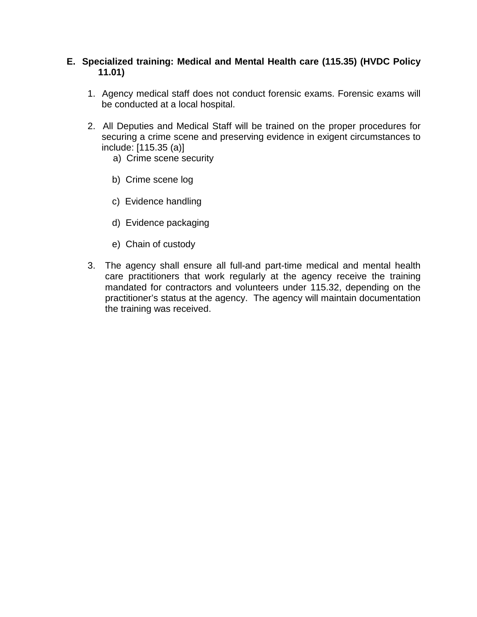### **E. Specialized training: Medical and Mental Health care (115.35) (HVDC Policy 11.01)**

- 1. Agency medical staff does not conduct forensic exams. Forensic exams will be conducted at a local hospital.
- 2. All Deputies and Medical Staff will be trained on the proper procedures for securing a crime scene and preserving evidence in exigent circumstances to include: [115.35 (a)]
	- a) Crime scene security
	- b) Crime scene log
	- c) Evidence handling
	- d) Evidence packaging
	- e) Chain of custody
- 3. The agency shall ensure all full-and part-time medical and mental health care practitioners that work regularly at the agency receive the training mandated for contractors and volunteers under 115.32, depending on the practitioner's status at the agency. The agency will maintain documentation the training was received.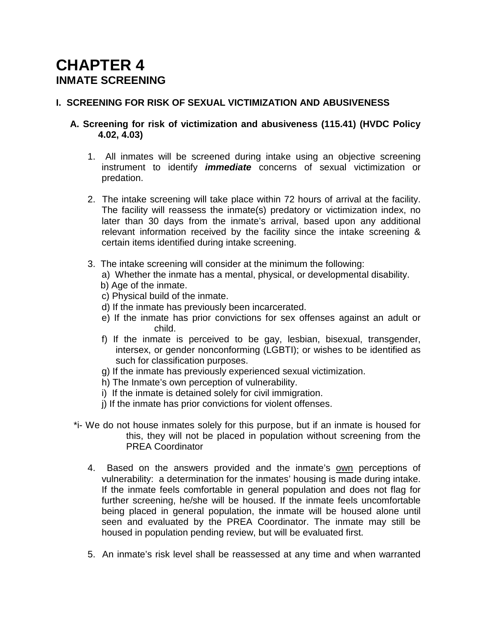## **CHAPTER 4 INMATE SCREENING**

## **I. SCREENING FOR RISK OF SEXUAL VICTIMIZATION AND ABUSIVENESS**

### **A. Screening for risk of victimization and abusiveness (115.41) (HVDC Policy 4.02, 4.03)**

- 1. All inmates will be screened during intake using an objective screening instrument to identify *immediate* concerns of sexual victimization or predation.
- 2. The intake screening will take place within 72 hours of arrival at the facility. The facility will reassess the inmate(s) predatory or victimization index, no later than 30 days from the inmate's arrival, based upon any additional relevant information received by the facility since the intake screening & certain items identified during intake screening.
- 3. The intake screening will consider at the minimum the following:
	- a) Whether the inmate has a mental, physical, or developmental disability.
	- b) Age of the inmate.
	- c) Physical build of the inmate.
	- d) If the inmate has previously been incarcerated.
	- e) If the inmate has prior convictions for sex offenses against an adult or child.
	- f) If the inmate is perceived to be gay, lesbian, bisexual, transgender, intersex, or gender nonconforming (LGBTI); or wishes to be identified as such for classification purposes.
	- g) If the inmate has previously experienced sexual victimization.
	- h) The Inmate's own perception of vulnerability.
	- i) If the inmate is detained solely for civil immigration.
	- j) If the inmate has prior convictions for violent offenses.
- \*i- We do not house inmates solely for this purpose, but if an inmate is housed for this, they will not be placed in population without screening from the PREA Coordinator
	- 4. Based on the answers provided and the inmate's own perceptions of vulnerability: a determination for the inmates' housing is made during intake. If the inmate feels comfortable in general population and does not flag for further screening, he/she will be housed. If the inmate feels uncomfortable being placed in general population, the inmate will be housed alone until seen and evaluated by the PREA Coordinator. The inmate may still be housed in population pending review, but will be evaluated first.
	- 5. An inmate's risk level shall be reassessed at any time and when warranted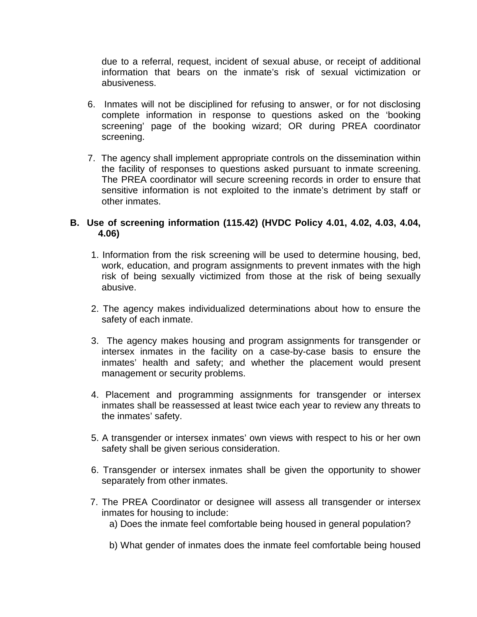due to a referral, request, incident of sexual abuse, or receipt of additional information that bears on the inmate's risk of sexual victimization or abusiveness.

- 6. Inmates will not be disciplined for refusing to answer, or for not disclosing complete information in response to questions asked on the 'booking screening' page of the booking wizard; OR during PREA coordinator screening.
- 7. The agency shall implement appropriate controls on the dissemination within the facility of responses to questions asked pursuant to inmate screening. The PREA coordinator will secure screening records in order to ensure that sensitive information is not exploited to the inmate's detriment by staff or other inmates.

### **B. Use of screening information (115.42) (HVDC Policy 4.01, 4.02, 4.03, 4.04, 4.06)**

- 1. Information from the risk screening will be used to determine housing, bed, work, education, and program assignments to prevent inmates with the high risk of being sexually victimized from those at the risk of being sexually abusive.
- 2. The agency makes individualized determinations about how to ensure the safety of each inmate.
- 3. The agency makes housing and program assignments for transgender or intersex inmates in the facility on a case-by-case basis to ensure the inmates' health and safety; and whether the placement would present management or security problems.
- 4. Placement and programming assignments for transgender or intersex inmates shall be reassessed at least twice each year to review any threats to the inmates' safety.
- 5. A transgender or intersex inmates' own views with respect to his or her own safety shall be given serious consideration.
- 6. Transgender or intersex inmates shall be given the opportunity to shower separately from other inmates.
- 7. The PREA Coordinator or designee will assess all transgender or intersex inmates for housing to include:
	- a) Does the inmate feel comfortable being housed in general population?
	- b) What gender of inmates does the inmate feel comfortable being housed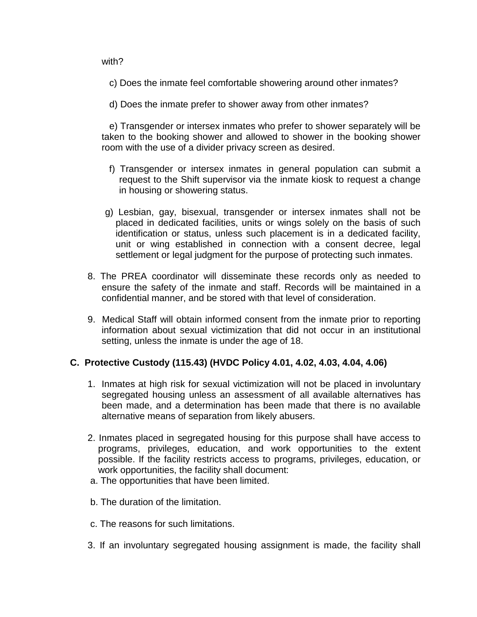with?

- c) Does the inmate feel comfortable showering around other inmates?
- d) Does the inmate prefer to shower away from other inmates?

 e) Transgender or intersex inmates who prefer to shower separately will be taken to the booking shower and allowed to shower in the booking shower room with the use of a divider privacy screen as desired.

- f) Transgender or intersex inmates in general population can submit a request to the Shift supervisor via the inmate kiosk to request a change in housing or showering status.
- g) Lesbian, gay, bisexual, transgender or intersex inmates shall not be placed in dedicated facilities, units or wings solely on the basis of such identification or status, unless such placement is in a dedicated facility, unit or wing established in connection with a consent decree, legal settlement or legal judgment for the purpose of protecting such inmates.
- 8. The PREA coordinator will disseminate these records only as needed to ensure the safety of the inmate and staff. Records will be maintained in a confidential manner, and be stored with that level of consideration.
- 9. Medical Staff will obtain informed consent from the inmate prior to reporting information about sexual victimization that did not occur in an institutional setting, unless the inmate is under the age of 18.

#### **C. Protective Custody (115.43) (HVDC Policy 4.01, 4.02, 4.03, 4.04, 4.06)**

- 1. Inmates at high risk for sexual victimization will not be placed in involuntary segregated housing unless an assessment of all available alternatives has been made, and a determination has been made that there is no available alternative means of separation from likely abusers.
- 2. Inmates placed in segregated housing for this purpose shall have access to programs, privileges, education, and work opportunities to the extent possible. If the facility restricts access to programs, privileges, education, or work opportunities, the facility shall document:
- a. The opportunities that have been limited.
- b. The duration of the limitation.
- c. The reasons for such limitations.
- 3. If an involuntary segregated housing assignment is made, the facility shall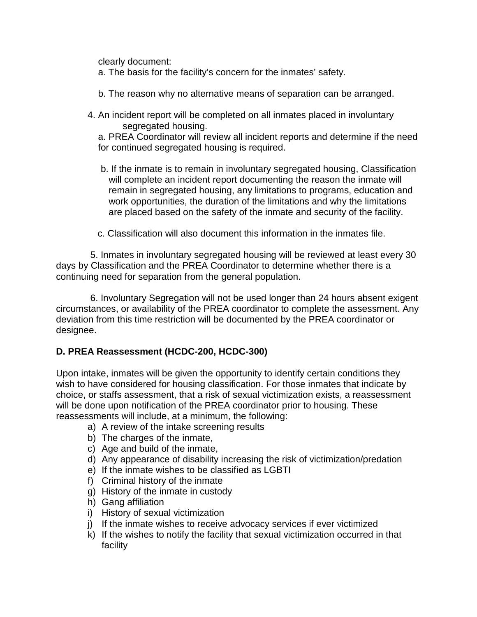clearly document:

a. The basis for the facility's concern for the inmates' safety.

- b. The reason why no alternative means of separation can be arranged.
- 4. An incident report will be completed on all inmates placed in involuntary segregated housing.

a. PREA Coordinator will review all incident reports and determine if the need for continued segregated housing is required.

- b. If the inmate is to remain in involuntary segregated housing, Classification will complete an incident report documenting the reason the inmate will remain in segregated housing, any limitations to programs, education and work opportunities, the duration of the limitations and why the limitations are placed based on the safety of the inmate and security of the facility.
- c. Classification will also document this information in the inmates file.

5. Inmates in involuntary segregated housing will be reviewed at least every 30 days by Classification and the PREA Coordinator to determine whether there is a continuing need for separation from the general population.

6. Involuntary Segregation will not be used longer than 24 hours absent exigent circumstances, or availability of the PREA coordinator to complete the assessment. Any deviation from this time restriction will be documented by the PREA coordinator or designee.

## **D. PREA Reassessment (HCDC-200, HCDC-300)**

Upon intake, inmates will be given the opportunity to identify certain conditions they wish to have considered for housing classification. For those inmates that indicate by choice, or staffs assessment, that a risk of sexual victimization exists, a reassessment will be done upon notification of the PREA coordinator prior to housing. These reassessments will include, at a minimum, the following:

- a) A review of the intake screening results
- b) The charges of the inmate,
- c) Age and build of the inmate,
- d) Any appearance of disability increasing the risk of victimization/predation
- e) If the inmate wishes to be classified as LGBTI
- f) Criminal history of the inmate
- g) History of the inmate in custody
- h) Gang affiliation
- i) History of sexual victimization
- j) If the inmate wishes to receive advocacy services if ever victimized
- k) If the wishes to notify the facility that sexual victimization occurred in that facility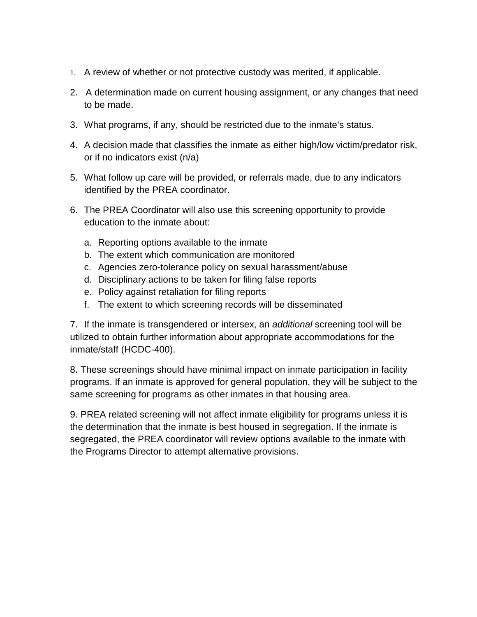- 1. A review of whether or not protective custody was merited, if applicable.
- 2. A determination made on current housing assignment, or any changes that need to be made.
- 3. What programs, if any, should be restricted due to the inmate's status.
- 4. A decision made that classifies the inmate as either high/low victim/predator risk, or if no indicators exist (n/a)
- 5. What follow up care will be provided, or referrals made, due to any indicators identified by the PREA coordinator.
- 6. The PREA Coordinator will also use this screening opportunity to provide education to the inmate about:
	- a. Reporting options available to the inmate
	- b. The extent which communication are monitored
	- c. Agencies zero-tolerance policy on sexual harassment/abuse
	- d. Disciplinary actions to be taken for filing false reports
	- e. Policy against retaliation for filing reports
	- f. The extent to which screening records will be disseminated

7. If the inmate is transgendered or intersex, an *additional* screening tool will be utilized to obtain further information about appropriate accommodations for the inmate/staff (HCDC-400).

8. These screenings should have minimal impact on inmate participation in facility programs. If an inmate is approved for general population, they will be subject to the same screening for programs as other inmates in that housing area.

9. PREA related screening will not affect inmate eligibility for programs unless it is the determination that the inmate is best housed in segregation. If the inmate is segregated, the PREA coordinator will review options available to the inmate with the Programs Director to attempt alternative provisions.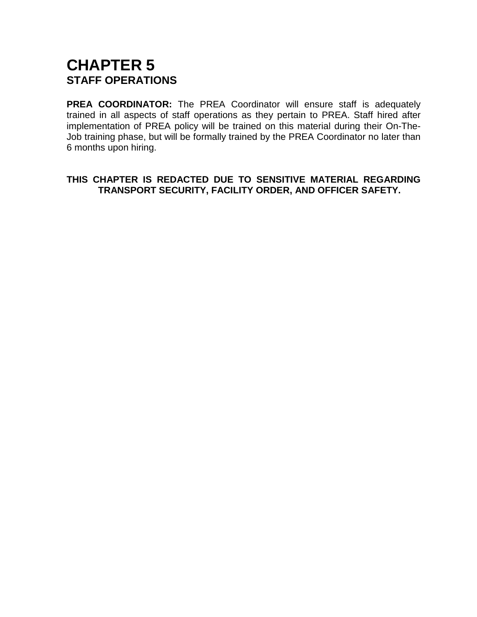## **CHAPTER 5 STAFF OPERATIONS**

**PREA COORDINATOR:** The PREA Coordinator will ensure staff is adequately trained in all aspects of staff operations as they pertain to PREA. Staff hired after implementation of PREA policy will be trained on this material during their On-The-Job training phase, but will be formally trained by the PREA Coordinator no later than 6 months upon hiring.

**THIS CHAPTER IS REDACTED DUE TO SENSITIVE MATERIAL REGARDING TRANSPORT SECURITY, FACILITY ORDER, AND OFFICER SAFETY.**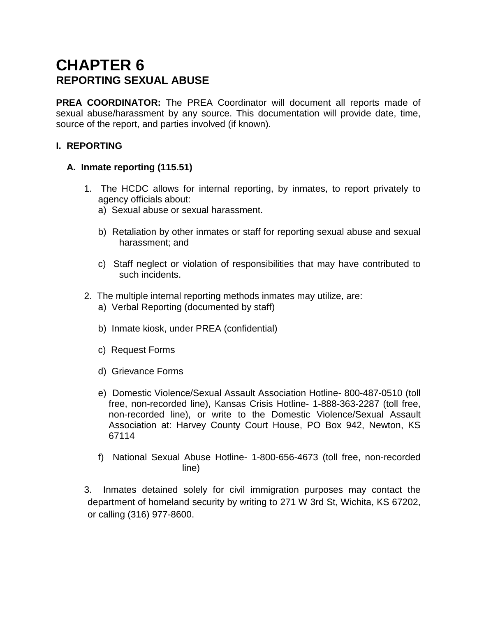## **CHAPTER 6 REPORTING SEXUAL ABUSE**

**PREA COORDINATOR:** The PREA Coordinator will document all reports made of sexual abuse/harassment by any source. This documentation will provide date, time, source of the report, and parties involved (if known).

## **I. REPORTING**

## **A. Inmate reporting (115.51)**

- 1. The HCDC allows for internal reporting, by inmates, to report privately to agency officials about:
	- a) Sexual abuse or sexual harassment.
	- b) Retaliation by other inmates or staff for reporting sexual abuse and sexual harassment; and
	- c) Staff neglect or violation of responsibilities that may have contributed to such incidents.
- 2. The multiple internal reporting methods inmates may utilize, are:
	- a) Verbal Reporting (documented by staff)
	- b) Inmate kiosk, under PREA (confidential)
	- c) Request Forms
	- d) Grievance Forms
	- e) Domestic Violence/Sexual Assault Association Hotline- 800-487-0510 (toll free, non-recorded line), Kansas Crisis Hotline- 1-888-363-2287 (toll free, non-recorded line), or write to the Domestic Violence/Sexual Assault Association at: Harvey County Court House, PO Box 942, Newton, KS 67114
	- f) National Sexual Abuse Hotline- 1-800-656-4673 (toll free, non-recorded line)

3. Inmates detained solely for civil immigration purposes may contact the department of homeland security by writing to 271 W 3rd St, Wichita, KS 67202, or calling (316) 977-8600.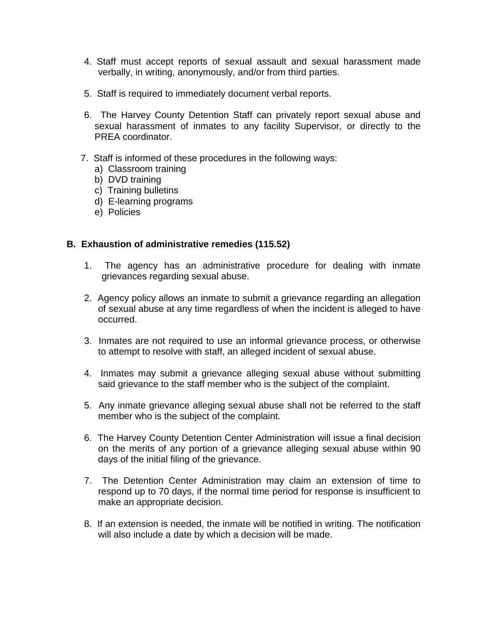- 4. Staff must accept reports of sexual assault and sexual harassment made verbally, in writing, anonymously, and/or from third parties.
- 5. Staff is required to immediately document verbal reports.
- 6. The Harvey County Detention Staff can privately report sexual abuse and sexual harassment of inmates to any facility Supervisor, or directly to the PREA coordinator.
- 7. Staff is informed of these procedures in the following ways:
	- a) Classroom training
	- b) DVD training
	- c) Training bulletins
	- d) E-learning programs
	- e) Policies

#### **B. Exhaustion of administrative remedies (115.52)**

- 1. The agency has an administrative procedure for dealing with inmate grievances regarding sexual abuse.
- 2. Agency policy allows an inmate to submit a grievance regarding an allegation of sexual abuse at any time regardless of when the incident is alleged to have occurred.
- 3. Inmates are not required to use an informal grievance process, or otherwise to attempt to resolve with staff, an alleged incident of sexual abuse.
- 4. Inmates may submit a grievance alleging sexual abuse without submitting said grievance to the staff member who is the subject of the complaint.
- 5. Any inmate grievance alleging sexual abuse shall not be referred to the staff member who is the subject of the complaint.
- 6. The Harvey County Detention Center Administration will issue a final decision on the merits of any portion of a grievance alleging sexual abuse within 90 days of the initial filing of the grievance.
- 7. The Detention Center Administration may claim an extension of time to respond up to 70 days, if the normal time period for response is insufficient to make an appropriate decision.
- 8. If an extension is needed, the inmate will be notified in writing. The notification will also include a date by which a decision will be made.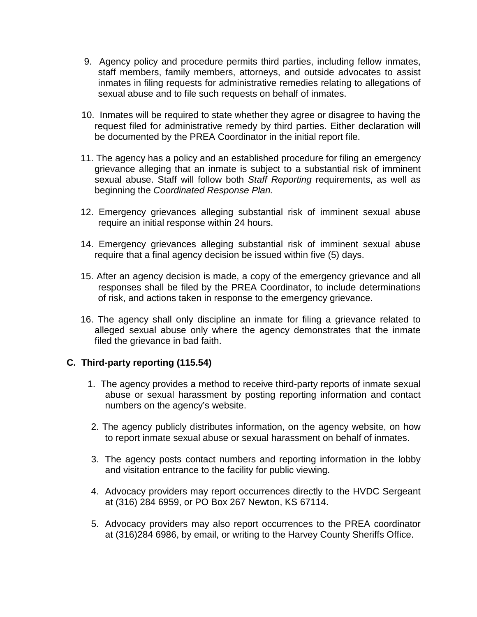- 9. Agency policy and procedure permits third parties, including fellow inmates, staff members, family members, attorneys, and outside advocates to assist inmates in filing requests for administrative remedies relating to allegations of sexual abuse and to file such requests on behalf of inmates.
- 10. Inmates will be required to state whether they agree or disagree to having the request filed for administrative remedy by third parties. Either declaration will be documented by the PREA Coordinator in the initial report file.
- 11. The agency has a policy and an established procedure for filing an emergency grievance alleging that an inmate is subject to a substantial risk of imminent sexual abuse. Staff will follow both *Staff Reporting* requirements, as well as beginning the *Coordinated Response Plan.*
- 12. Emergency grievances alleging substantial risk of imminent sexual abuse require an initial response within 24 hours.
- 14. Emergency grievances alleging substantial risk of imminent sexual abuse require that a final agency decision be issued within five (5) days.
- 15. After an agency decision is made, a copy of the emergency grievance and all responses shall be filed by the PREA Coordinator, to include determinations of risk, and actions taken in response to the emergency grievance.
- 16. The agency shall only discipline an inmate for filing a grievance related to alleged sexual abuse only where the agency demonstrates that the inmate filed the grievance in bad faith.

## **C. Third-party reporting (115.54)**

- 1. The agency provides a method to receive third-party reports of inmate sexual abuse or sexual harassment by posting reporting information and contact numbers on the agency's website.
- 2. The agency publicly distributes information, on the agency website, on how to report inmate sexual abuse or sexual harassment on behalf of inmates.
- 3. The agency posts contact numbers and reporting information in the lobby and visitation entrance to the facility for public viewing.
- 4. Advocacy providers may report occurrences directly to the HVDC Sergeant at (316) 284 6959, or PO Box 267 Newton, KS 67114.
- 5. Advocacy providers may also report occurrences to the PREA coordinator at (316)284 6986, by email, or writing to the Harvey County Sheriffs Office.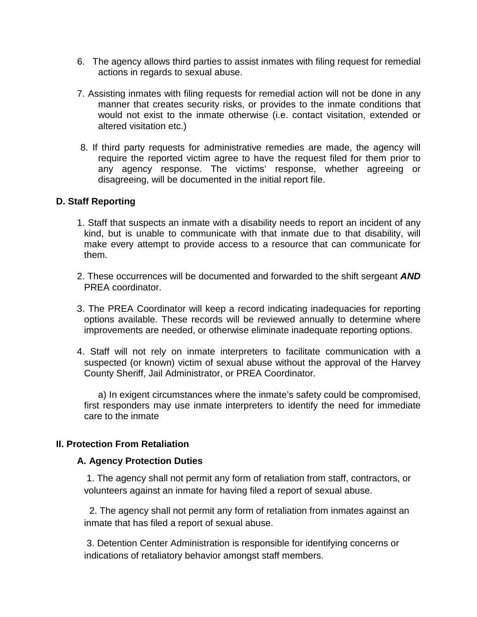- 6. The agency allows third parties to assist inmates with filing request for remedial actions in regards to sexual abuse.
- 7. Assisting inmates with filing requests for remedial action will not be done in any manner that creates security risks, or provides to the inmate conditions that would not exist to the inmate otherwise (i.e. contact visitation, extended or altered visitation etc.)
- 8. If third party requests for administrative remedies are made, the agency will require the reported victim agree to have the request filed for them prior to any agency response. The victims' response, whether agreeing or disagreeing, will be documented in the initial report file.

#### **D. Staff Reporting**

- 1. Staff that suspects an inmate with a disability needs to report an incident of any kind, but is unable to communicate with that inmate due to that disability, will make every attempt to provide access to a resource that can communicate for them.
- 2. These occurrences will be documented and forwarded to the shift sergeant *AND* PREA coordinator.
- 3. The PREA Coordinator will keep a record indicating inadequacies for reporting options available. These records will be reviewed annually to determine where improvements are needed, or otherwise eliminate inadequate reporting options.
- 4. Staff will not rely on inmate interpreters to facilitate communication with a suspected (or known) victim of sexual abuse without the approval of the Harvey County Sheriff, Jail Administrator, or PREA Coordinator.

a) In exigent circumstances where the inmate's safety could be compromised, first responders may use inmate interpreters to identify the need for immediate care to the inmate

#### **II. Protection From Retaliation**

#### **A. Agency Protection Duties**

1. The agency shall not permit any form of retaliation from staff, contractors, or volunteers against an inmate for having filed a report of sexual abuse.

 2. The agency shall not permit any form of retaliation from inmates against an inmate that has filed a report of sexual abuse.

3. Detention Center Administration is responsible for identifying concerns or indications of retaliatory behavior amongst staff members.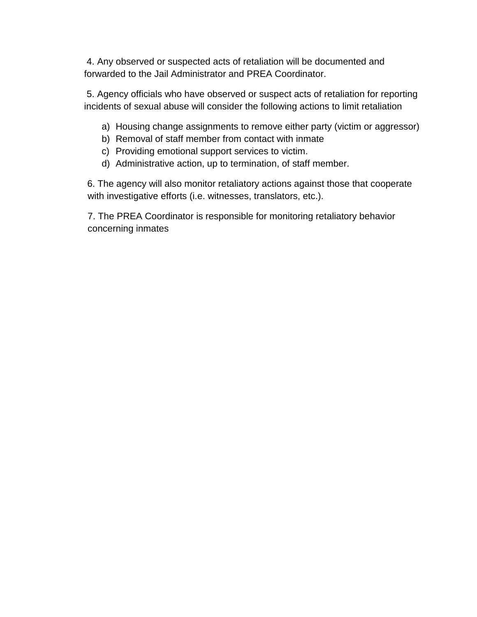4. Any observed or suspected acts of retaliation will be documented and forwarded to the Jail Administrator and PREA Coordinator.

5. Agency officials who have observed or suspect acts of retaliation for reporting incidents of sexual abuse will consider the following actions to limit retaliation

- a) Housing change assignments to remove either party (victim or aggressor)
- b) Removal of staff member from contact with inmate
- c) Providing emotional support services to victim.
- d) Administrative action, up to termination, of staff member.

 6. The agency will also monitor retaliatory actions against those that cooperate with investigative efforts (i.e. witnesses, translators, etc.).

7. The PREA Coordinator is responsible for monitoring retaliatory behavior concerning inmates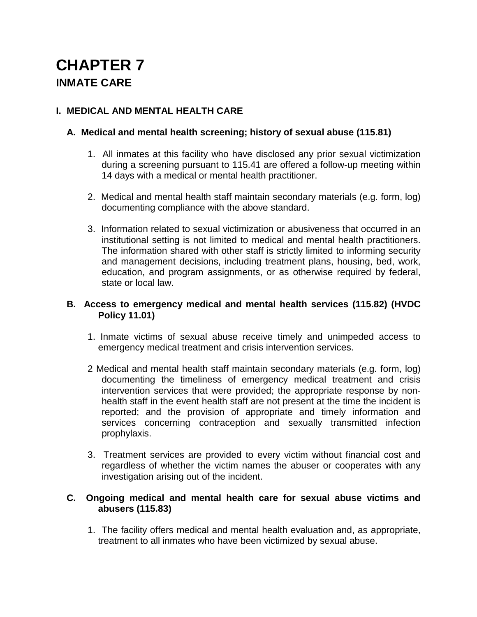# **CHAPTER 7 INMATE CARE**

## **I. MEDICAL AND MENTAL HEALTH CARE**

## **A. Medical and mental health screening; history of sexual abuse (115.81)**

- 1. All inmates at this facility who have disclosed any prior sexual victimization during a screening pursuant to 115.41 are offered a follow-up meeting within 14 days with a medical or mental health practitioner.
- 2. Medical and mental health staff maintain secondary materials (e.g. form, log) documenting compliance with the above standard.
- 3. Information related to sexual victimization or abusiveness that occurred in an institutional setting is not limited to medical and mental health practitioners. The information shared with other staff is strictly limited to informing security and management decisions, including treatment plans, housing, bed, work, education, and program assignments, or as otherwise required by federal, state or local law.

## **B. Access to emergency medical and mental health services (115.82) (HVDC Policy 11.01)**

- 1. Inmate victims of sexual abuse receive timely and unimpeded access to emergency medical treatment and crisis intervention services.
- 2 Medical and mental health staff maintain secondary materials (e.g. form, log) documenting the timeliness of emergency medical treatment and crisis intervention services that were provided; the appropriate response by nonhealth staff in the event health staff are not present at the time the incident is reported; and the provision of appropriate and timely information and services concerning contraception and sexually transmitted infection prophylaxis.
- 3. Treatment services are provided to every victim without financial cost and regardless of whether the victim names the abuser or cooperates with any investigation arising out of the incident.

#### **C. Ongoing medical and mental health care for sexual abuse victims and abusers (115.83)**

1. The facility offers medical and mental health evaluation and, as appropriate, treatment to all inmates who have been victimized by sexual abuse.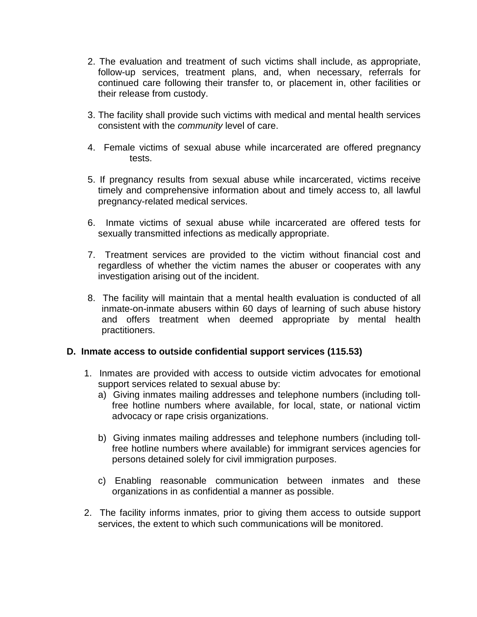- 2. The evaluation and treatment of such victims shall include, as appropriate, follow-up services, treatment plans, and, when necessary, referrals for continued care following their transfer to, or placement in, other facilities or their release from custody.
- 3. The facility shall provide such victims with medical and mental health services consistent with the *community* level of care.
- 4. Female victims of sexual abuse while incarcerated are offered pregnancy tests.
- 5. If pregnancy results from sexual abuse while incarcerated, victims receive timely and comprehensive information about and timely access to, all lawful pregnancy-related medical services.
- 6. Inmate victims of sexual abuse while incarcerated are offered tests for sexually transmitted infections as medically appropriate.
- 7. Treatment services are provided to the victim without financial cost and regardless of whether the victim names the abuser or cooperates with any investigation arising out of the incident.
- 8. The facility will maintain that a mental health evaluation is conducted of all inmate-on-inmate abusers within 60 days of learning of such abuse history and offers treatment when deemed appropriate by mental health practitioners.

#### **D. Inmate access to outside confidential support services (115.53)**

- 1. Inmates are provided with access to outside victim advocates for emotional support services related to sexual abuse by:
	- a) Giving inmates mailing addresses and telephone numbers (including tollfree hotline numbers where available, for local, state, or national victim advocacy or rape crisis organizations.
	- b) Giving inmates mailing addresses and telephone numbers (including tollfree hotline numbers where available) for immigrant services agencies for persons detained solely for civil immigration purposes.
	- c) Enabling reasonable communication between inmates and these organizations in as confidential a manner as possible.
- 2. The facility informs inmates, prior to giving them access to outside support services, the extent to which such communications will be monitored.